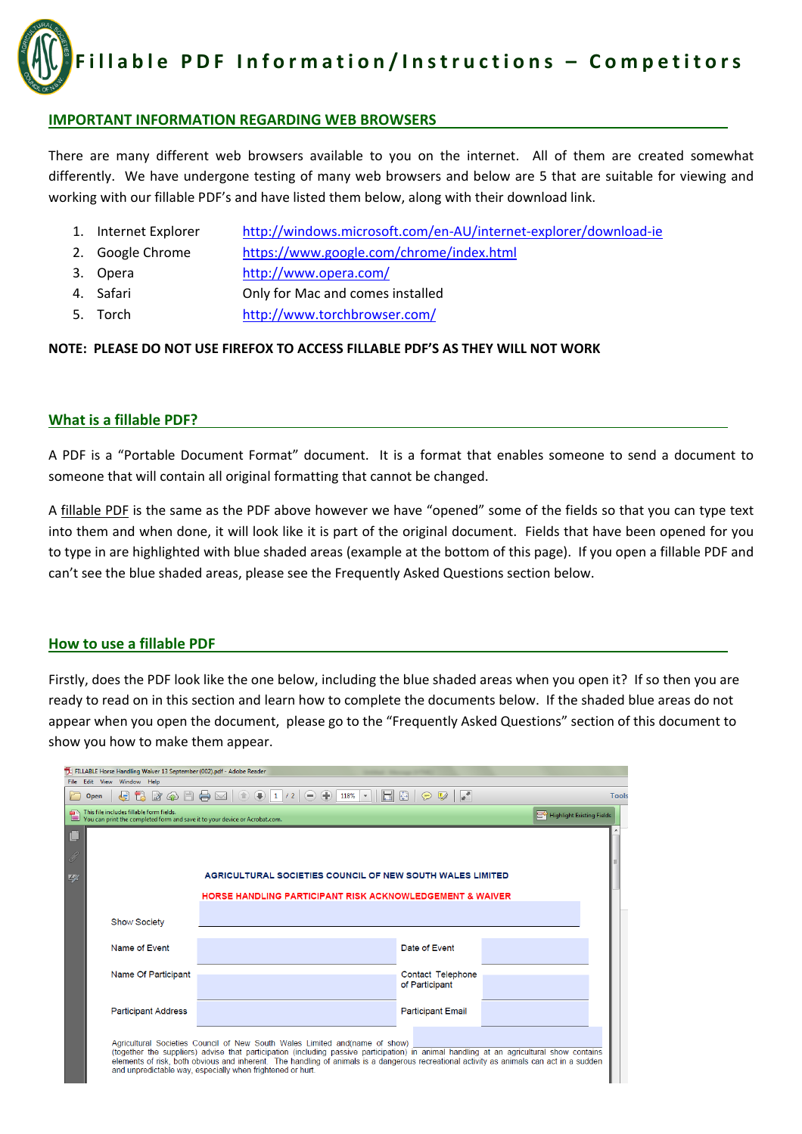**Fillable PDF Information/Instructions – Competitors**

## **IMPORTANT INFORMATION REGARDING WEB BROWSERS**

There are many different web browsers available to you on the internet. All of them are created somewhat differently. We have undergone testing of many web browsers and below are 5 that are suitable for viewing and working with our fillable PDF's and have listed them below, along with their download link.

- 1. Internet Explorer http://windows.microsoft.com/en‐AU/internet‐explorer/download‐ie
- 2. Google Chrome https://www.google.com/chrome/index.html
- 3. Opera http://www.opera.com/
- 4. Safari Only for Mac and comes installed
- 5. Torch http://www.torchbrowser.com/

#### **NOTE: PLEASE DO NOT USE FIREFOX TO ACCESS FILLABLE PDF'S AS THEY WILL NOT WORK**

## **What is a fillable PDF?**

A PDF is a "Portable Document Format" document. It is a format that enables someone to send a document to someone that will contain all original formatting that cannot be changed.

A fillable PDF is the same as the PDF above however we have "opened" some of the fields so that you can type text into them and when done, it will look like it is part of the original document. Fields that have been opened for you to type in are highlighted with blue shaded areas (example at the bottom of this page). If you open a fillable PDF and can't see the blue shaded areas, please see the Frequently Asked Questions section below.

#### **How to use a fillable PDF**

Firstly, does the PDF look like the one below, including the blue shaded areas when you open it? If so then you are ready to read on in this section and learn how to complete the documents below. If the shaded blue areas do not appear when you open the document, please go to the "Frequently Asked Questions" section of this document to show you how to make them appear.

| FILLABLE Horse Handling Waiver 13 September (002).pdf - Adobe Reader                                                                                                                                                                                                                                                                                                                                                              |                                                                             |                                                              |                                     |  |              |  |  |  |  |  |
|-----------------------------------------------------------------------------------------------------------------------------------------------------------------------------------------------------------------------------------------------------------------------------------------------------------------------------------------------------------------------------------------------------------------------------------|-----------------------------------------------------------------------------|--------------------------------------------------------------|-------------------------------------|--|--------------|--|--|--|--|--|
| File Edit View Window Help                                                                                                                                                                                                                                                                                                                                                                                                        |                                                                             |                                                              |                                     |  |              |  |  |  |  |  |
| Open                                                                                                                                                                                                                                                                                                                                                                                                                              | $\bigoplus$ (2) $\bigoplus$ (2) $\bigoplus$ (2) $\bigoplus$ (2) $\bigoplus$ | $\bigcirc$ 1 /2 $\bigcirc$ $\bigcirc$<br>$118\%$ $\sim$<br>b | <b>A</b><br>Ю                       |  | <b>Tools</b> |  |  |  |  |  |
| This file includes fillable form fields.<br><b>BG</b> Highlight Existing Fields<br>You can print the completed form and save it to your device or Acrobat.com.                                                                                                                                                                                                                                                                    |                                                                             |                                                              |                                     |  |              |  |  |  |  |  |
|                                                                                                                                                                                                                                                                                                                                                                                                                                   |                                                                             |                                                              |                                     |  |              |  |  |  |  |  |
| D.                                                                                                                                                                                                                                                                                                                                                                                                                                |                                                                             |                                                              |                                     |  |              |  |  |  |  |  |
| 49                                                                                                                                                                                                                                                                                                                                                                                                                                | AGRICULTURAL SOCIETIES COUNCIL OF NEW SOUTH WALES LIMITED                   |                                                              |                                     |  |              |  |  |  |  |  |
|                                                                                                                                                                                                                                                                                                                                                                                                                                   | <b>HORSE HANDLING PARTICIPANT RISK ACKNOWLEDGEMENT &amp; WAIVER</b>         |                                                              |                                     |  |              |  |  |  |  |  |
|                                                                                                                                                                                                                                                                                                                                                                                                                                   | <b>Show Society</b>                                                         |                                                              |                                     |  |              |  |  |  |  |  |
|                                                                                                                                                                                                                                                                                                                                                                                                                                   | Name of Event                                                               |                                                              | Date of Event                       |  |              |  |  |  |  |  |
|                                                                                                                                                                                                                                                                                                                                                                                                                                   | Name Of Participant                                                         |                                                              | Contact Telephone<br>of Participant |  |              |  |  |  |  |  |
|                                                                                                                                                                                                                                                                                                                                                                                                                                   | <b>Participant Address</b>                                                  |                                                              | <b>Participant Email</b>            |  |              |  |  |  |  |  |
| Agricultural Societies Council of New South Wales Limited and name of show)<br>(together the suppliers) advise that participation (including passive participation) in animal handling at an agricultural show contains<br>elements of risk, both obvious and inherent. The handling of animals is a dangerous recreational activity as animals can act in a sudden<br>and unpredictable way, especially when frightened or hurt. |                                                                             |                                                              |                                     |  |              |  |  |  |  |  |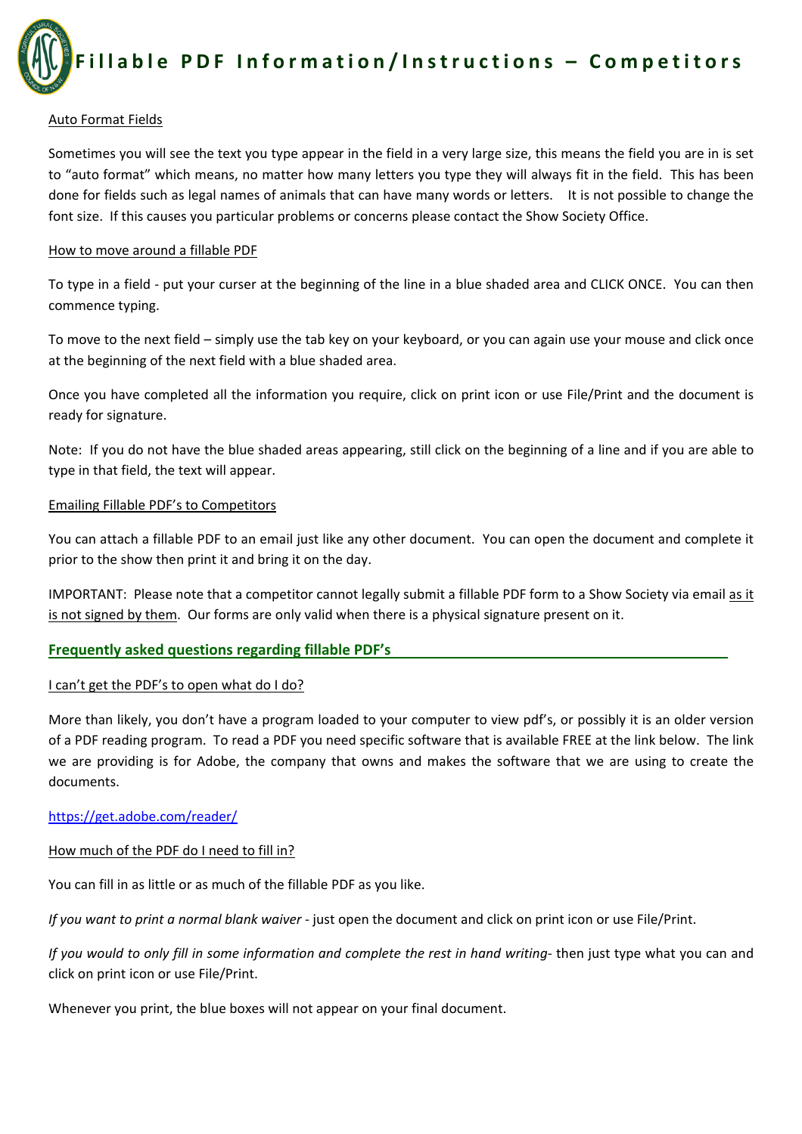

#### Auto Format Fields

Sometimes you will see the text you type appear in the field in a very large size, this means the field you are in is set to "auto format" which means, no matter how many letters you type they will always fit in the field. This has been done for fields such as legal names of animals that can have many words or letters. It is not possible to change the font size. If this causes you particular problems or concerns please contact the Show Society Office.

#### How to move around a fillable PDF

To type in a field ‐ put your curser at the beginning of the line in a blue shaded area and CLICK ONCE. You can then commence typing.

To move to the next field – simply use the tab key on your keyboard, or you can again use your mouse and click once at the beginning of the next field with a blue shaded area.

Once you have completed all the information you require, click on print icon or use File/Print and the document is ready for signature.

Note: If you do not have the blue shaded areas appearing, still click on the beginning of a line and if you are able to type in that field, the text will appear.

#### Emailing Fillable PDF's to Competitors

You can attach a fillable PDF to an email just like any other document. You can open the document and complete it prior to the show then print it and bring it on the day.

IMPORTANT: Please note that a competitor cannot legally submit a fillable PDF form to a Show Society via email as it is not signed by them. Our forms are only valid when there is a physical signature present on it.

#### **Frequently asked questions regarding fillable PDF's**

#### I can't get the PDF's to open what do I do?

More than likely, you don't have a program loaded to your computer to view pdf's, or possibly it is an older version of a PDF reading program. To read a PDF you need specific software that is available FREE at the link below. The link we are providing is for Adobe, the company that owns and makes the software that we are using to create the documents.

#### https://get.adobe.com/reader/

#### How much of the PDF do I need to fill in?

You can fill in as little or as much of the fillable PDF as you like.

*If you want to print a normal blank waiver* ‐ just open the document and click on print icon or use File/Print.

If you would to only fill in some information and complete the rest in hand writing- then just type what you can and click on print icon or use File/Print.

Whenever you print, the blue boxes will not appear on your final document.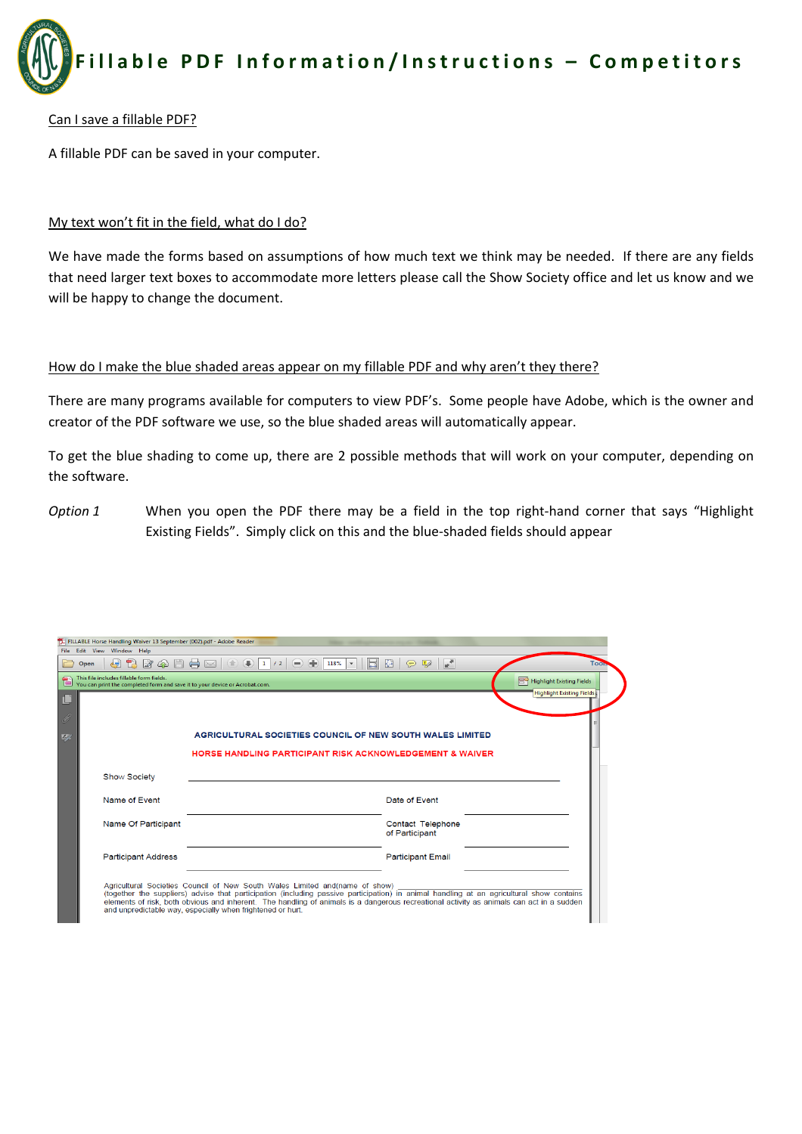

#### Can I save a fillable PDF?

A fillable PDF can be saved in your computer.

## My text won't fit in the field, what do I do?

We have made the forms based on assumptions of how much text we think may be needed. If there are any fields that need larger text boxes to accommodate more letters please call the Show Society office and let us know and we will be happy to change the document.

#### How do I make the blue shaded areas appear on my fillable PDF and why aren't they there?

There are many programs available for computers to view PDF's. Some people have Adobe, which is the owner and creator of the PDF software we use, so the blue shaded areas will automatically appear.

To get the blue shading to come up, there are 2 possible methods that will work on your computer, depending on the software.

*Option* 1 **When you open the PDF there may be a field in the top right-hand corner that says "Highlight** Existing Fields". Simply click on this and the blue‐shaded fields should appear

| This file includes fillable form fields.<br>This file includes fillable form neus.<br>You can print the completed form and save it to your device or Acrobat.com. | <b>EG</b> Highlight Existing Fields<br>Highlight Existing Fields |  |  |  |  |  |
|-------------------------------------------------------------------------------------------------------------------------------------------------------------------|------------------------------------------------------------------|--|--|--|--|--|
|                                                                                                                                                                   |                                                                  |  |  |  |  |  |
| AGRICULTURAL SOCIETIES COUNCIL OF NEW SOUTH WALES LIMITED                                                                                                         |                                                                  |  |  |  |  |  |
| <b>HORSE HANDLING PARTICIPANT RISK ACKNOWLEDGEMENT &amp; WAIVER</b>                                                                                               |                                                                  |  |  |  |  |  |
| <b>Show Society</b>                                                                                                                                               |                                                                  |  |  |  |  |  |
| Name of Fvent                                                                                                                                                     | Date of Event                                                    |  |  |  |  |  |
| Name Of Participant                                                                                                                                               | Contact Telephone<br>of Participant                              |  |  |  |  |  |
|                                                                                                                                                                   | <b>Participant Email</b>                                         |  |  |  |  |  |
| <b>Participant Address</b>                                                                                                                                        |                                                                  |  |  |  |  |  |